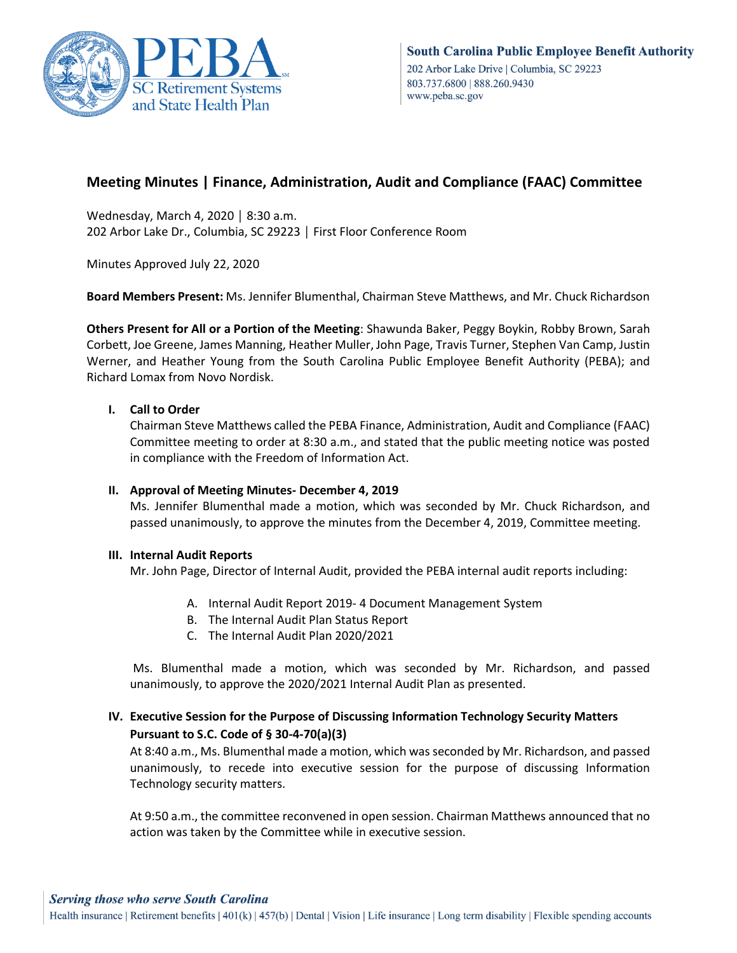

# **Meeting Minutes | Finance, Administration, Audit and Compliance (FAAC) Committee**

Wednesday, March 4, 2020 │ 8:30 a.m. 202 Arbor Lake Dr., Columbia, SC 29223 │ First Floor Conference Room

Minutes Approved July 22, 2020

**Board Members Present:** Ms. Jennifer Blumenthal, Chairman Steve Matthews, and Mr. Chuck Richardson

**Others Present for All or a Portion of the Meeting**: Shawunda Baker, Peggy Boykin, Robby Brown, Sarah Corbett, Joe Greene, James Manning, Heather Muller, John Page, Travis Turner, Stephen Van Camp, Justin Werner, and Heather Young from the South Carolina Public Employee Benefit Authority (PEBA); and Richard Lomax from Novo Nordisk.

## **I. Call to Order**

Chairman Steve Matthews called the PEBA Finance, Administration, Audit and Compliance (FAAC) Committee meeting to order at 8:30 a.m., and stated that the public meeting notice was posted in compliance with the Freedom of Information Act.

#### **II. Approval of Meeting Minutes- December 4, 2019**

Ms. Jennifer Blumenthal made a motion, which was seconded by Mr. Chuck Richardson, and passed unanimously, to approve the minutes from the December 4, 2019, Committee meeting.

#### **III. Internal Audit Reports**

Mr. John Page, Director of Internal Audit, provided the PEBA internal audit reports including:

- A. Internal Audit Report 2019- 4 Document Management System
- B. The Internal Audit Plan Status Report
- C. The Internal Audit Plan 2020/2021

Ms. Blumenthal made a motion, which was seconded by Mr. Richardson, and passed unanimously, to approve the 2020/2021 Internal Audit Plan as presented.

# **IV. Executive Session for the Purpose of Discussing Information Technology Security Matters Pursuant to S.C. Code of § 30-4-70(a)(3)**

At 8:40 a.m., Ms. Blumenthal made a motion, which was seconded by Mr. Richardson, and passed unanimously, to recede into executive session for the purpose of discussing Information Technology security matters.

At 9:50 a.m., the committee reconvened in open session. Chairman Matthews announced that no action was taken by the Committee while in executive session.